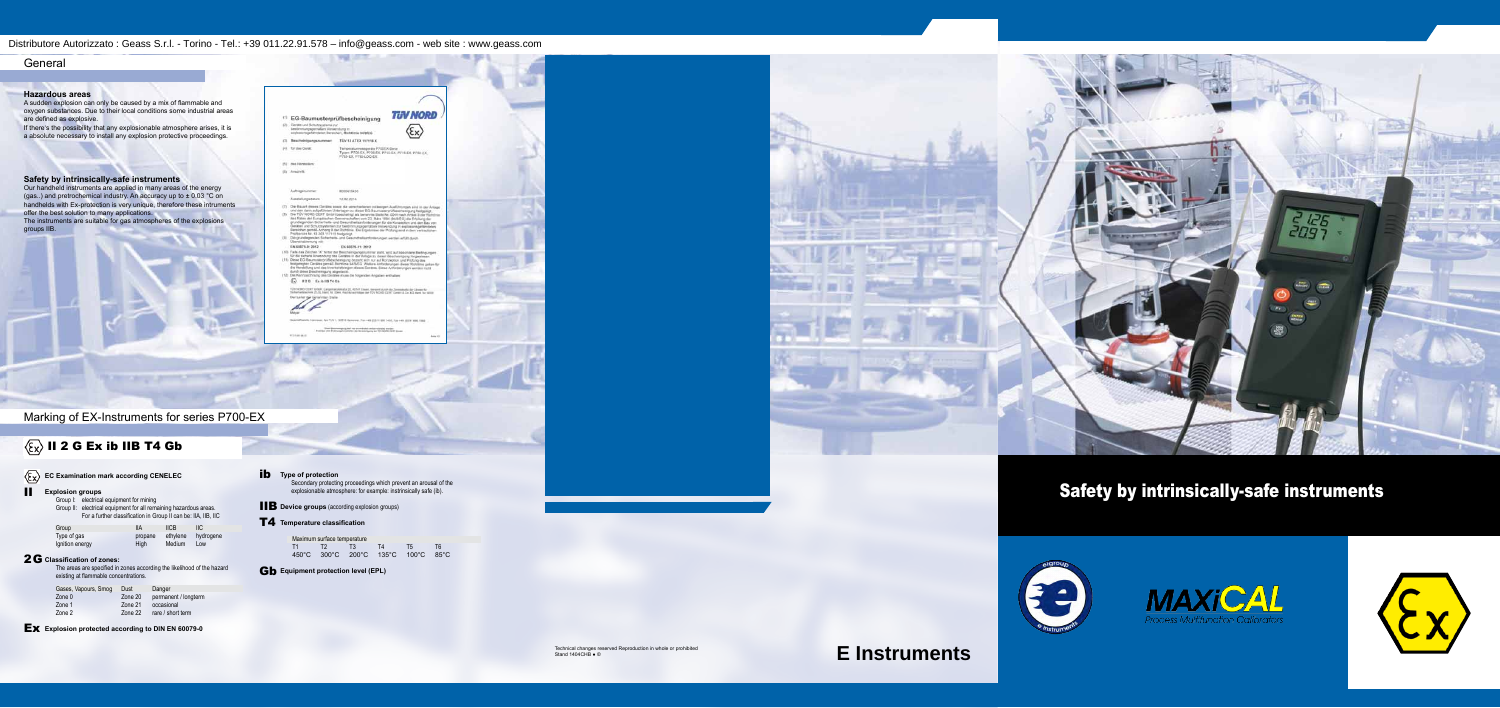# Safety by intrinsically-safe instruments







#### **Hazardous areas**

A sudden explosion can only be caused by a mix of flammable and oxygen substances. Due to their local conditions some industrial areas are defined as explosive.

If there's the possibility that any explosionable atmosphere arises, it is a absolute necessary to install any explosion protective proceedings.

### **Safety by intrinsically-safe instruments**

- **Explosion groups** 
	- Group I: electrical equipment for mining

Our handheld instruments are applied in many areas of the energy (gas..) and pretrochemical industry. An accuracy up to ± 0.03 °C on handhelds with Ex-protection is very unique, therefore these intruments offer the best solution to many applications. The instruments are suitable for gas atmospheres of the explosions groups IIB.

|         | explostomegafährsteten Bereichen, Richtlinie 94/9/EG.            |                                                                                                                                                                                                                                                                                                                                                                                                                                                                                                                                                                 |  |
|---------|------------------------------------------------------------------|-----------------------------------------------------------------------------------------------------------------------------------------------------------------------------------------------------------------------------------------------------------------------------------------------------------------------------------------------------------------------------------------------------------------------------------------------------------------------------------------------------------------------------------------------------------------|--|
| CT1     | Beachelnigungsnummer:                                            | TUV 13 ATEX 117118 K                                                                                                                                                                                                                                                                                                                                                                                                                                                                                                                                            |  |
| 141     | für das Genitt                                                   | Temperaturressignists P700EX-Siete<br>Typen: P700-EX, P705-EX, P710-EX, P715-EX, P780-EX.<br>FISS EX PISS LOG-EX                                                                                                                                                                                                                                                                                                                                                                                                                                                |  |
|         | <b>DAS FM/10/801</b>                                             |                                                                                                                                                                                                                                                                                                                                                                                                                                                                                                                                                                 |  |
|         | Aractvill.                                                       |                                                                                                                                                                                                                                                                                                                                                                                                                                                                                                                                                                 |  |
|         | Authragemunimen                                                  | BDOOA 1/54.3/5                                                                                                                                                                                                                                                                                                                                                                                                                                                                                                                                                  |  |
|         | Austafallungsdatum                                               | 12.02.2014                                                                                                                                                                                                                                                                                                                                                                                                                                                                                                                                                      |  |
| $-1300$ | Profbericht Nr. 13 203.117119 festgeleid.<br>Doenachabinmung mit | des Rates der Europäischen Gemeinschaften vom 23. März 1994 (S4/6/EO) die Erfüllung der<br>grundlegenden Sicherheite- und Gesundheitserforderungen für die Konzeptium und den Bau von<br>Geräten und Schutzsystemen zur bestimmungsgemällen Verwendung in explosierwoefswissen<br>Bereichen gendäl Avhang II der Richtinie. Die Ergebresse der Prüfung sind in dem vertraulichen<br>Die gründlegenden Sicherheits- und Gesundheitsanfortlerungen werden erfüllt durch                                                                                           |  |
|         | EN 40075-0: 2012                                                 | EN 60079-11: 2012                                                                                                                                                                                                                                                                                                                                                                                                                                                                                                                                               |  |
|         | durch ziese Bescheinigung abgesteckt.<br>EIG ExhiBT4Gb           | (10) Falls das Zeichen 'X' füher der Bescheinigungstrummer statt, wird auf besondere Bedingungen<br>für die sichere Ahwendung des Gerätes in der Anlage zu deser Bescherrigung Hingewiesen.<br>(11) Diese EG-Baumusterprüfbeschemigung bezeht sich nur auf Konzeption und Prüfung das<br>festpereglan Derätes gemäß Richtlinie 94/MSS. Weitere Anforderungen dieser Romänia gaben für<br>die Herstellung und das Wyerkehrtuhringen dieses Derätes. Diese Anfündsrungen werden nutra<br>(12) Dix Kennzeichnung des Gerätes muss die forgenden Angelen enthalten: |  |
|         | Der Leiter dar benannten Stelle.                                 | 10V NORD USRT Linselt, Largemarchinalis 20, 42141 Steeri, Sorwint surviv de Zermakeste der Lincke<br>Sichertaliziachen 25.3), Steit für 2044, Rachtprachtiger der TOV NORD CENT Gener & Co. XII ment für WIDE                                                                                                                                                                                                                                                                                                                                                   |  |
|         |                                                                  | Tel: 1, 1988 1-8 Licensenson, Kuns and Street & store Suite, which will con-                                                                                                                                                                                                                                                                                                                                                                                                                                                                                    |  |

Desi-Boymergury def na unverbald with retired entire.

**THE STATE** 

<sup>(1)</sup> EG-Baumusterprüfbescheinigung

(2) Cerate und Schutzgreierte zur

**TUV NORD** 

 $\sqrt{2}$ 

Marking of EX-Instruments for series P700-EX

**Change of the Control** 

## $\langle \overline{\xi}_X \rangle$  II 2 G Ex ib IIB T4 Gb

## General

**EC Examination mark according CENELEC**

Group II: electrical equipment for all remaining hazardous areas. For a further classification in Group II can be: IIA, IIB, IIC

| Group           | IIА     | <b>IICB</b> | IIС       |  |
|-----------------|---------|-------------|-----------|--|
| Type of gas     | propane | ethylene    | hydrogene |  |
| Ignition energy | High    | Medium      | Low       |  |

The areas are specified in zones according the likelihood of the hazard existing at flammable concentrations.

### **Classification of zones:** 2G

| Gases, Vapours, Smog | Dust    | Danger               |
|----------------------|---------|----------------------|
| Zone 0               | Zone 20 | permanent / longterm |
| Zone 1               | Zone 21 | occasional           |
| Zone 2               | Zone 22 | rare / short term    |

**EX** Explosion protected according to DIN EN 60079-0

### **ib** Type of protection

Secondary protecting proceedings which prevent an arousal of the explosionable atmosphere: for example: instrinsically safe (ib).

**B** Device groups (according explosion groups)

### $\textsf{T4}$  Temperature classification

| Maximum surface temperature        |    |    |    |
|------------------------------------|----|----|----|
| T1 T2 T3                           | T4 | T5 | T6 |
| 450°C 300°C 200°C 135°C 100°C 85°C |    |    |    |

### **Gb** Equipment protection level (EPL)



**E Instruments**

Distributore Autorizzato : Geass S.r.l. - Torino - Tel.: +39 011.22.91.578 – info@geass.com - web site : www.geass.com